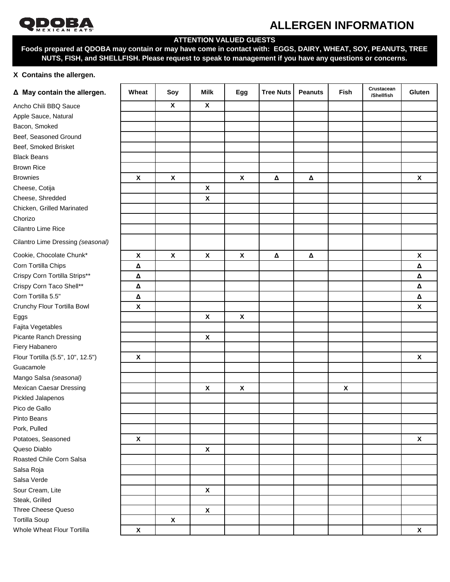

# **OPPORATION**<br>ALLERGEN INFORMATION

## **ATTENTION VALUED GUESTS**

**Foods prepared at QDOBA may contain or may have come in contact with: EGGS, DAIRY, WHEAT, SOY, PEANUTS, TREE NUTS, FISH, and SHELLFISH. Please request to speak to management if you have any questions or concerns.**

## **X Contains the allergen.**

| Δ May contain the allergen.       | Wheat                     | Soy                       | <b>Milk</b>               | Egg                       | <b>Tree Nuts</b> | <b>Peanuts</b> | <b>Fish</b>        | Crustacean<br>/Shellfish | Gluten             |
|-----------------------------------|---------------------------|---------------------------|---------------------------|---------------------------|------------------|----------------|--------------------|--------------------------|--------------------|
| Ancho Chili BBQ Sauce             |                           | $\boldsymbol{\mathsf{X}}$ | $\boldsymbol{\mathsf{X}}$ |                           |                  |                |                    |                          |                    |
| Apple Sauce, Natural              |                           |                           |                           |                           |                  |                |                    |                          |                    |
| Bacon, Smoked                     |                           |                           |                           |                           |                  |                |                    |                          |                    |
| Beef, Seasoned Ground             |                           |                           |                           |                           |                  |                |                    |                          |                    |
| Beef, Smoked Brisket              |                           |                           |                           |                           |                  |                |                    |                          |                    |
| <b>Black Beans</b>                |                           |                           |                           |                           |                  |                |                    |                          |                    |
| <b>Brown Rice</b>                 |                           |                           |                           |                           |                  |                |                    |                          |                    |
| <b>Brownies</b>                   | $\boldsymbol{\mathsf{X}}$ | $\boldsymbol{\mathsf{X}}$ |                           | $\pmb{\mathsf{X}}$        | Δ                | Δ              |                    |                          | $\pmb{\mathsf{X}}$ |
| Cheese, Cotija                    |                           |                           | $\pmb{\mathsf{X}}$        |                           |                  |                |                    |                          |                    |
| Cheese, Shredded                  |                           |                           | $\pmb{\mathsf{X}}$        |                           |                  |                |                    |                          |                    |
| Chicken, Grilled Marinated        |                           |                           |                           |                           |                  |                |                    |                          |                    |
| Chorizo                           |                           |                           |                           |                           |                  |                |                    |                          |                    |
| Cilantro Lime Rice                |                           |                           |                           |                           |                  |                |                    |                          |                    |
| Cilantro Lime Dressing (seasonal) |                           |                           |                           |                           |                  |                |                    |                          |                    |
| Cookie, Chocolate Chunk*          | $\boldsymbol{\mathsf{X}}$ | $\boldsymbol{\mathsf{X}}$ | $\boldsymbol{\mathsf{X}}$ | $\boldsymbol{\mathsf{X}}$ | Δ                | Δ              |                    |                          | $\pmb{\mathsf{X}}$ |
| Corn Tortilla Chips               | Δ                         |                           |                           |                           |                  |                |                    |                          | $\pmb{\Delta}$     |
| Crispy Corn Tortilla Strips**     | Δ                         |                           |                           |                           |                  |                |                    |                          | $\pmb{\Delta}$     |
| Crispy Corn Taco Shell**          | Δ                         |                           |                           |                           |                  |                |                    |                          | Δ                  |
| Corn Tortilla 5.5"                | Δ                         |                           |                           |                           |                  |                |                    |                          | $\pmb{\Delta}$     |
| Crunchy Flour Tortilla Bowl       | $\pmb{\mathsf{X}}$        |                           |                           |                           |                  |                |                    |                          | $\pmb{\chi}$       |
| Eggs                              |                           |                           | $\pmb{\mathsf{X}}$        | $\pmb{\mathsf{X}}$        |                  |                |                    |                          |                    |
| Fajita Vegetables                 |                           |                           |                           |                           |                  |                |                    |                          |                    |
| Picante Ranch Dressing            |                           |                           | $\pmb{\mathsf{X}}$        |                           |                  |                |                    |                          |                    |
| Fiery Habanero                    |                           |                           |                           |                           |                  |                |                    |                          |                    |
| Flour Tortilla (5.5", 10", 12.5") | $\boldsymbol{\mathsf{X}}$ |                           |                           |                           |                  |                |                    |                          | $\pmb{\chi}$       |
| Guacamole                         |                           |                           |                           |                           |                  |                |                    |                          |                    |
| Mango Salsa (seasonal)            |                           |                           |                           |                           |                  |                |                    |                          |                    |
| <b>Mexican Caesar Dressing</b>    |                           |                           | X                         | $\pmb{\mathsf{X}}$        |                  |                | $\pmb{\mathsf{X}}$ |                          |                    |
| Pickled Jalapenos                 |                           |                           |                           |                           |                  |                |                    |                          |                    |
| Pico de Gallo                     |                           |                           |                           |                           |                  |                |                    |                          |                    |
| Pinto Beans                       |                           |                           |                           |                           |                  |                |                    |                          |                    |
| Pork, Pulled                      |                           |                           |                           |                           |                  |                |                    |                          |                    |
| Potatoes, Seasoned                | $\boldsymbol{\mathsf{X}}$ |                           |                           |                           |                  |                |                    |                          | $\pmb{\mathsf{X}}$ |
| Queso Diablo                      |                           |                           | $\pmb{\mathsf{X}}$        |                           |                  |                |                    |                          |                    |
| Roasted Chile Corn Salsa          |                           |                           |                           |                           |                  |                |                    |                          |                    |
| Salsa Roja                        |                           |                           |                           |                           |                  |                |                    |                          |                    |
| Salsa Verde                       |                           |                           |                           |                           |                  |                |                    |                          |                    |
| Sour Cream, Lite                  |                           |                           | $\pmb{\mathsf{X}}$        |                           |                  |                |                    |                          |                    |
| Steak, Grilled                    |                           |                           |                           |                           |                  |                |                    |                          |                    |
| <b>Three Cheese Queso</b>         |                           |                           | $\pmb{\chi}$              |                           |                  |                |                    |                          |                    |
| <b>Tortilla Soup</b>              |                           | $\pmb{\chi}$              |                           |                           |                  |                |                    |                          |                    |
| Whole Wheat Flour Tortilla        | $\pmb{\mathsf{X}}$        |                           |                           |                           |                  |                |                    |                          | $\pmb{\mathsf{X}}$ |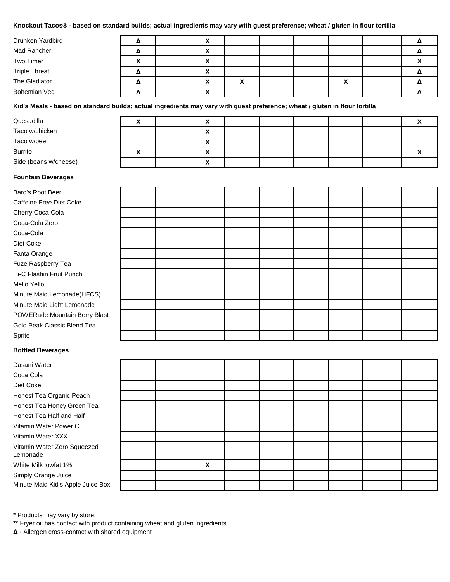## **Knockout Tacos® - based on standard builds; actual ingredients may vary with guest preference; wheat / gluten in flour tortilla**

| Drunken Yardbird     |   | ↗                 |                         |  |  |                        |
|----------------------|---|-------------------|-------------------------|--|--|------------------------|
| Mad Rancher          |   | v<br>^            |                         |  |  |                        |
| Two Timer            | Λ | v<br>$\lambda$    |                         |  |  | $\mathbf{\mathcal{L}}$ |
| <b>Triple Threat</b> |   | $\checkmark$<br>^ |                         |  |  |                        |
| The Gladiator        |   | v<br>$\lambda$    | $\cdot$<br>$\mathbf{v}$ |  |  |                        |
| Bohemian Veg         |   | $\mathbf{v}$      |                         |  |  |                        |

**Kid's Meals - based on standard builds; actual ingredients may vary with guest preference; wheat / gluten in flour tortilla**

| Quesadilla            | " | $\mathbf{v}$<br>↗ |  |  |  |
|-----------------------|---|-------------------|--|--|--|
| Taco w/chicken        |   | ́                 |  |  |  |
| Taco w/beef           |   | $\mathbf{v}$<br>Λ |  |  |  |
| Burrito               |   | $\mathbf{v}$      |  |  |  |
| Side (beans w/cheese) |   | $\mathbf{v}$      |  |  |  |

#### **Fountain Beverages**

Dasani Water Coca Cola Diet Coke

Lemonade

White Milk lowfat 1% Simply Orange Juice

Honest Tea Organic Peach Honest Tea Honey Green Tea Honest Tea Half and Half Vitamin Water Power C Vitamin Water XXX

Vitamin Water Zero Squeezed

Minute Maid Kid's Apple Juice Box

| Barq's Root Beer              |  |  |  |  |  |
|-------------------------------|--|--|--|--|--|
| Caffeine Free Diet Coke       |  |  |  |  |  |
| Cherry Coca-Cola              |  |  |  |  |  |
| Coca-Cola Zero                |  |  |  |  |  |
| Coca-Cola                     |  |  |  |  |  |
| Diet Coke                     |  |  |  |  |  |
| Fanta Orange                  |  |  |  |  |  |
| Fuze Raspberry Tea            |  |  |  |  |  |
| Hi-C Flashin Fruit Punch      |  |  |  |  |  |
| Mello Yello                   |  |  |  |  |  |
| Minute Maid Lemonade(HFCS)    |  |  |  |  |  |
| Minute Maid Light Lemonade    |  |  |  |  |  |
| POWERade Mountain Berry Blast |  |  |  |  |  |
| Gold Peak Classic Blend Tea   |  |  |  |  |  |
| Sprite                        |  |  |  |  |  |
| <b>Bottled Beverages</b>      |  |  |  |  |  |

|  | X |  |  |  |
|--|---|--|--|--|
|  |   |  |  |  |
|  |   |  |  |  |

**\*** Products may vary by store.

**\*\*** Fryer oil has contact with product containing wheat and gluten ingredients.

**Δ** - Allergen cross-contact with shared equipment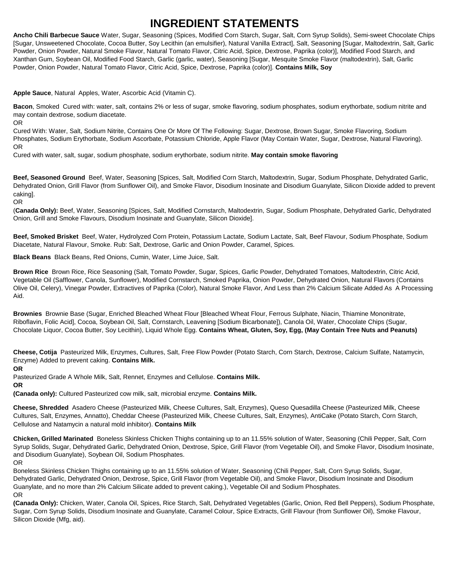## **INGREDIENT STATEMENTS**

**Ancho Chili Barbecue Sauce** Water, Sugar, Seasoning (Spices, Modified Corn Starch, Sugar, Salt, Corn Syrup Solids), Semi-sweet Chocolate Chips [Sugar, Unsweetened Chocolate, Cocoa Butter, Soy Lecithin (an emulsifier), Natural Vanilla Extract], Salt, Seasoning [Sugar, Maltodextrin, Salt, Garlic Powder, Onion Powder, Natural Smoke Flavor, Natural Tomato Flavor, Citric Acid, Spice, Dextrose, Paprika (color)], Modified Food Starch, and Xanthan Gum, Soybean Oil, Modified Food Starch, Garlic (garlic, water), Seasoning [Sugar, Mesquite Smoke Flavor (maltodextrin), Salt, Garlic Powder, Onion Powder, Natural Tomato Flavor, Citric Acid, Spice, Dextrose, Paprika (color)]. **Contains Milk, Soy**

**Apple Sauce**, Natural Apples, Water, Ascorbic Acid (Vitamin C).

**Bacon**, Smoked Cured with: water, salt, contains 2% or less of sugar, smoke flavoring, sodium phosphates, sodium erythorbate, sodium nitrite and may contain dextrose, sodium diacetate. OR

Cured With: Water, Salt, Sodium Nitrite, Contains One Or More Of The Following: Sugar, Dextrose, Brown Sugar, Smoke Flavoring, Sodium Phosphates, Sodium Erythorbate, Sodium Ascorbate, Potassium Chloride, Apple Flavor (May Contain Water, Sugar, Dextrose, Natural Flavoring). OR

Cured with water, salt, sugar, sodium phosphate, sodium erythorbate, sodium nitrite. **May contain smoke flavoring**

**Beef, Seasoned Ground** Beef, Water, Seasoning [Spices, Salt, Modified Corn Starch, Maltodextrin, Sugar, Sodium Phosphate, Dehydrated Garlic, Dehydrated Onion, Grill Flavor (from Sunflower Oil), and Smoke Flavor, Disodium Inosinate and Disodium Guanylate, Silicon Dioxide added to prevent caking].

OR

(**Canada Only):** Beef, Water, Seasoning [Spices, Salt, Modified Cornstarch, Maltodextrin, Sugar, Sodium Phosphate, Dehydrated Garlic, Dehydrated Onion, Grill and Smoke Flavours, Disodium Inosinate and Guanylate, Silicon Dioxide].

**Beef, Smoked Brisket** Beef, Water, Hydrolyzed Corn Protein, Potassium Lactate, Sodium Lactate, Salt, Beef Flavour, Sodium Phosphate, Sodium Diacetate, Natural Flavour, Smoke. Rub: Salt, Dextrose, Garlic and Onion Powder, Caramel, Spices.

**Black Beans** Black Beans, Red Onions, Cumin, Water, Lime Juice, Salt.

**Brown Rice** Brown Rice, Rice Seasoning (Salt, Tomato Powder, Sugar, Spices, Garlic Powder, Dehydrated Tomatoes, Maltodextrin, Citric Acid, Vegetable Oil (Safflower, Canola, Sunflower), Modified Cornstarch, Smoked Paprika, Onion Powder, Dehydrated Onion, Natural Flavors (Contains Olive Oil, Celery), Vinegar Powder, Extractives of Paprika (Color), Natural Smoke Flavor, And Less than 2% Calcium Silicate Added As A Processing Aid.

**Brownies** Brownie Base (Sugar, Enriched Bleached Wheat Flour [Bleached Wheat Flour, Ferrous Sulphate, Niacin, Thiamine Mononitrate, Riboflavin, Folic Acid], Cocoa, Soybean Oil, Salt, Cornstarch, Leavening [Sodium Bicarbonate]), Canola Oil, Water, Chocolate Chips (Sugar, Chocolate Liquor, Cocoa Butter, Soy Lecithin), Liquid Whole Egg. **Contains Wheat, Gluten, Soy, Egg, (May Contain Tree Nuts and Peanuts)**

**Cheese, Cotija** Pasteurized Milk, Enzymes, Cultures, Salt, Free Flow Powder (Potato Starch, Corn Starch, Dextrose, Calcium Sulfate, Natamycin, Enzyme) Added to prevent caking. **Contains Milk.**

**OR**

Pasteurized Grade A Whole Milk, Salt, Rennet, Enzymes and Cellulose. **Contains Milk.**

**OR**

**(Canada only):** Cultured Pasteurized cow milk, salt, microbial enzyme. **Contains Milk.**

**Cheese, Shredded** Asadero Cheese (Pasteurized Milk, Cheese Cultures, Salt, Enzymes), Queso Quesadilla Cheese (Pasteurized Milk, Cheese Cultures, Salt, Enzymes, Annatto), Cheddar Cheese (Pasteurized Milk, Cheese Cultures, Salt, Enzymes), AntiCake (Potato Starch, Corn Starch, Cellulose and Natamycin a natural mold inhibitor). **Contains Milk**

**Chicken, Grilled Marinated** Boneless Skinless Chicken Thighs containing up to an 11.55% solution of Water, Seasoning (Chili Pepper, Salt, Corn Syrup Solids, Sugar, Dehydrated Garlic, Dehydrated Onion, Dextrose, Spice, Grill Flavor (from Vegetable Oil), and Smoke Flavor, Disodium Inosinate, and Disodium Guanylate), Soybean Oil, Sodium Phosphates.

OR

Boneless Skinless Chicken Thighs containing up to an 11.55% solution of Water, Seasoning (Chili Pepper, Salt, Corn Syrup Solids, Sugar, Dehydrated Garlic, Dehydrated Onion, Dextrose, Spice, Grill Flavor (from Vegetable Oil), and Smoke Flavor, Disodium Inosinate and Disodium Guanylate, and no more than 2% Calcium Silicate added to prevent caking.), Vegetable Oil and Sodium Phosphates. OR

**(Canada Only):** Chicken, Water, Canola Oil, Spices, Rice Starch, Salt, Dehydrated Vegetables (Garlic, Onion, Red Bell Peppers), Sodium Phosphate, Sugar, Corn Syrup Solids, Disodium Inosinate and Guanylate, Caramel Colour, Spice Extracts, Grill Flavour (from Sunflower Oil), Smoke Flavour, Silicon Dioxide (Mfg, aid).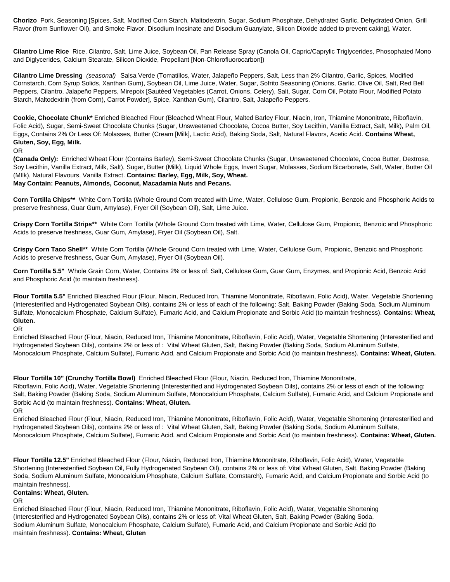**Chorizo** Pork, Seasoning [Spices, Salt, Modified Corn Starch, Maltodextrin, Sugar, Sodium Phosphate, Dehydrated Garlic, Dehydrated Onion, Grill Flavor (from Sunflower Oil), and Smoke Flavor, Disodium Inosinate and Disodium Guanylate, Silicon Dioxide added to prevent caking], Water.

**Cilantro Lime Rice** Rice, Cilantro, Salt, Lime Juice, Soybean Oil, Pan Release Spray (Canola Oil, Capric/Caprylic Triglycerides, Phosophated Mono and Diglycerides, Calcium Stearate, Silicon Dioxide, Propellant [Non-Chlorofluorocarbon])

**Cilantro Lime Dressing** *(seasonal)* Salsa Verde (Tomatillos, Water, Jalapeño Peppers, Salt, Less than 2% Cilantro, Garlic, Spices, Modified Cornstarch, Corn Syrup Solids, Xanthan Gum), Soybean Oil, Lime Juice, Water, Sugar, Sofrito Seasoning (Onions, Garlic, Olive Oil, Salt, Red Bell Peppers, Cilantro, Jalapeño Peppers, Mirepoix [Sautéed Vegetables (Carrot, Onions, Celery), Salt, Sugar, Corn Oil, Potato Flour, Modified Potato Starch, Maltodextrin (from Corn), Carrot Powder], Spice, Xanthan Gum), Cilantro, Salt, Jalapeño Peppers.

**Cookie, Chocolate Chunk\*** Enriched Bleached Flour (Bleached Wheat Flour, Malted Barley Flour, Niacin, Iron, Thiamine Mononitrate, Riboflavin, Folic Acid), Sugar, Semi-Sweet Chocolate Chunks (Sugar, Unsweetened Chocolate, Cocoa Butter, Soy Lecithin, Vanilla Extract, Salt, Milk), Palm Oil, Eggs, Contains 2% Or Less Of: Molasses, Butter (Cream [Milk], Lactic Acid), Baking Soda, Salt, Natural Flavors, Acetic Acid. **Contains Wheat, Gluten, Soy, Egg, Milk.**

#### OR

**(Canada Only):** Enriched Wheat Flour (Contains Barley), Semi-Sweet Chocolate Chunks (Sugar, Unsweetened Chocolate, Cocoa Butter, Dextrose, Soy Lecithin, Vanilla Extract, Milk, Salt), Sugar, Butter (Milk), Liquid Whole Eggs, Invert Sugar, Molasses, Sodium Bicarbonate, Salt, Water, Butter Oil (MIlk), Natural Flavours, Vanilla Extract. **Contains: Barley, Egg, Milk, Soy, Wheat. May Contain: Peanuts, Almonds, Coconut, Macadamia Nuts and Pecans.**

**Corn Tortilla Chips\*\*** White Corn Tortilla (Whole Ground Corn treated with Lime, Water, Cellulose Gum, Propionic, Benzoic and Phosphoric Acids to preserve freshness, Guar Gum, Amylase), Fryer Oil (Soybean Oil), Salt, Lime Juice.

**Crispy Corn Tortilla Strips\*\*** White Corn Tortilla (Whole Ground Corn treated with Lime, Water, Cellulose Gum, Propionic, Benzoic and Phosphoric Acids to preserve freshness, Guar Gum, Amylase), Fryer Oil (Soybean Oil), Salt.

**Crispy Corn Taco Shell\*\*** White Corn Tortilla (Whole Ground Corn treated with Lime, Water, Cellulose Gum, Propionic, Benzoic and Phosphoric Acids to preserve freshness, Guar Gum, Amylase), Fryer Oil (Soybean Oil).

**Corn Tortilla 5.5"** Whole Grain Corn, Water, Contains 2% or less of: Salt, Cellulose Gum, Guar Gum, Enzymes, and Propionic Acid, Benzoic Acid and Phosphoric Acid (to maintain freshness).

**Flour Tortilla 5.5"** Enriched Bleached Flour (Flour, Niacin, Reduced Iron, Thiamine Mononitrate, Riboflavin, Folic Acid), Water, Vegetable Shortening (Interesterified and Hydrogenated Soybean Oils), contains 2% or less of each of the following: Salt, Baking Powder (Baking Soda, Sodium Aluminum Sulfate, Monocalcium Phosphate, Calcium Sulfate), Fumaric Acid, and Calcium Propionate and Sorbic Acid (to maintain freshness). **Contains: Wheat, Gluten.**

#### OR

Enriched Bleached Flour (Flour, Niacin, Reduced Iron, Thiamine Mononitrate, Riboflavin, Folic Acid), Water, Vegetable Shortening (Interesterified and Hydrogenated Soybean Oils), contains 2% or less of : Vital Wheat Gluten, Salt, Baking Powder (Baking Soda, Sodium Aluminum Sulfate, Monocalcium Phosphate, Calcium Sulfate), Fumaric Acid, and Calcium Propionate and Sorbic Acid (to maintain freshness). **Contains: Wheat, Gluten.**

**Flour Tortilla 10" (Crunchy Tortilla Bowl)** Enriched Bleached Flour (Flour, Niacin, Reduced Iron, Thiamine Mononitrate,

Riboflavin, Folic Acid), Water, Vegetable Shortening (Interesterified and Hydrogenated Soybean Oils), contains 2% or less of each of the following: Salt, Baking Powder (Baking Soda, Sodium Aluminum Sulfate, Monocalcium Phosphate, Calcium Sulfate), Fumaric Acid, and Calcium Propionate and Sorbic Acid (to maintain freshness). **Contains: Wheat, Gluten.**

OR

Enriched Bleached Flour (Flour, Niacin, Reduced Iron, Thiamine Mononitrate, Riboflavin, Folic Acid), Water, Vegetable Shortening (Interesterified and Hydrogenated Soybean Oils), contains 2% or less of : Vital Wheat Gluten, Salt, Baking Powder (Baking Soda, Sodium Aluminum Sulfate, Monocalcium Phosphate, Calcium Sulfate), Fumaric Acid, and Calcium Propionate and Sorbic Acid (to maintain freshness). **Contains: Wheat, Gluten.**

**Flour Tortilla 12.5"** Enriched Bleached Flour (Flour, Niacin, Reduced Iron, Thiamine Mononitrate, Riboflavin, Folic Acid), Water, Vegetable Shortening (Interesterified Soybean Oil, Fully Hydrogenated Soybean Oil), contains 2% or less of: Vital Wheat Gluten, Salt, Baking Powder (Baking Soda, Sodium Aluminum Sulfate, Monocalcium Phosphate, Calcium Sulfate, Cornstarch), Fumaric Acid, and Calcium Propionate and Sorbic Acid (to maintain freshness).

#### **Contains: Wheat, Gluten.**

## OR

Enriched Bleached Flour (Flour, Niacin, Reduced Iron, Thiamine Mononitrate, Riboflavin, Folic Acid), Water, Vegetable Shortening (Interesterified and Hydrogenated Soybean Oils), contains 2% or less of: Vital Wheat Gluten, Salt, Baking Powder (Baking Soda, Sodium Aluminum Sulfate, Monocalcium Phosphate, Calcium Sulfate), Fumaric Acid, and Calcium Propionate and Sorbic Acid (to maintain freshness). **Contains: Wheat, Gluten**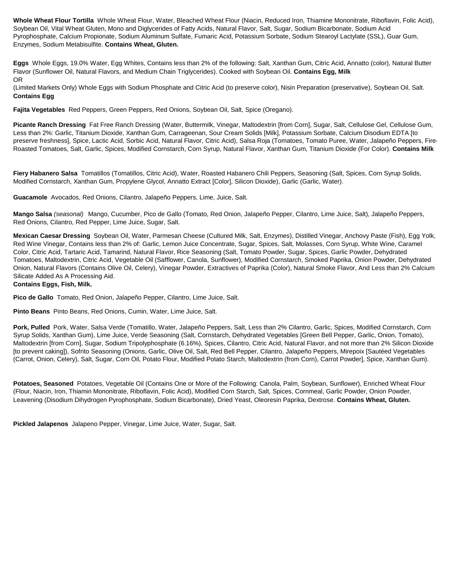**Whole Wheat Flour Tortilla** Whole Wheat Flour, Water, Bleached Wheat Flour (Niacin, Reduced Iron, Thiamine Mononitrate, Riboflavin, Folic Acid), Soybean Oil, Vital Wheat Gluten, Mono and Diglycerides of Fatty Acids, Natural Flavor, Salt, Sugar, Sodium Bicarbonate, Sodium Acid Pyrophosphate, Calcium Propionate, Sodium Aluminum Sulfate, Fumaric Acid, Potassium Sorbate, Sodium Stearoyl Lactylate (SSL), Guar Gum, Enzymes, Sodium Metabisulfite. **Contains Wheat, Gluten.**

**Eggs** Whole Eggs, 19.0% Water, Egg Whites, Contains less than 2% of the following: Salt, Xanthan Gum, Citric Acid, Annatto (color), Natural Butter Flavor (Sunflower Oil, Natural Flavors, and Medium Chain Triglycerides). Cooked with Soybean Oil. **Contains Egg, Milk** OR

(Limited Markets Only) Whole Eggs with Sodium Phosphate and Citric Acid (to preserve color), Nisin Preparation (preservative), Soybean Oil, Salt. **Contains Egg**

**Fajita Vegetables** Red Peppers, Green Peppers, Red Onions, Soybean Oil, Salt, Spice (Oregano).

Picante Ranch Dressing Fat Free Ranch Dressing (Water, Buttermilk, Vinegar, Maltodextrin [from Corn], Sugar, Salt, Cellulose Gel, Cellulose Gum, Less than 2%: Garlic, Titanium Dioxide, Xanthan Gum, Carrageenan, Sour Cream Solids [Milk], Potassium Sorbate, Calcium Disodium EDTA [to preserve freshness], Spice, Lactic Acid, Sorbic Acid, Natural Flavor, Citric Acid), Salsa Roja (Tomatoes, Tomato Puree, Water, Jalapeño Peppers, Fire-Roasted Tomatoes, Salt, Garlic, Spices, Modified Cornstarch, Corn Syrup, Natural Flavor, Xanthan Gum, Titanium Dioxide (For Color). **Contains Milk**

Fiery Habanero Salsa Tomatillos (Tomatillos, Citric Acid), Water, Roasted Habanero Chili Peppers, Seasoning (Salt, Spices, Corn Syrup Solids, Modified Cornstarch, Xanthan Gum, Propylene Glycol, Annatto Extract [Color], Silicon Dioxide), Garlic (Garlic, Water).

**Guacamole** Avocados, Red Onions, Cilantro, Jalapeño Peppers, Lime, Juice, Salt.

**Mango Salsa** *(seasonal)* Mango, Cucumber, Pico de Gallo (Tomato, Red Onion, Jalapeño Pepper, Cilantro, Lime Juice, Salt), Jalapeño Peppers, Red Onions, Cilantro, Red Pepper, Lime Juice, Sugar, Salt.

**Mexican Caesar Dressing** Soybean Oil, Water, Parmesan Cheese (Cultured Milk, Salt, Enzymes), Distilled Vinegar, Anchovy Paste (Fish), Egg Yolk, Red Wine Vinegar, Contains less than 2% of: Garlic, Lemon Juice Concentrate, Sugar, Spices, Salt, Molasses, Corn Syrup, White Wine, Caramel Color, Citric Acid, Tartaric Acid, Tamarind, Natural Flavor, Rice Seasoning (Salt, Tomato Powder, Sugar, Spices, Garlic Powder, Dehydrated Tomatoes, Maltodextrin, Citric Acid, Vegetable Oil (Safflower, Canola, Sunflower), Modified Cornstarch, Smoked Paprika, Onion Powder, Dehydrated Onion, Natural Flavors (Contains Olive Oil, Celery), Vinegar Powder, Extractives of Paprika (Color), Natural Smoke Flavor, And Less than 2% Calcium Silicate Added As A Processing Aid.

## **Contains Eggs, Fish, Milk.**

**Pico de Gallo** Tomato, Red Onion, Jalapeño Pepper, Cilantro, Lime Juice, Salt.

**Pinto Beans** Pinto Beans, Red Onions, Cumin, Water, Lime Juice, Salt.

**Pork, Pulled** Pork, Water, Salsa Verde (Tomatillo, Water, Jalapeño Peppers, Salt, Less than 2% Cilantro, Garlic, Spices, Modified Cornstarch, Corn Syrup Solids, Xanthan Gum), Lime Juice, Verde Seasoning (Salt, Cornstarch, Dehydrated Vegetables [Green Bell Pepper, Garlic, Onion, Tomato), Maltodextrin [from Corn], Sugar, Sodium Tripolyphosphate (6.16%), Spices, Cilantro, Citric Acid, Natural Flavor, and not more than 2% Silicon Dioxide [to prevent caking]), Sofrito Seasoning (Onions, Garlic, Olive Oil, Salt, Red Bell Pepper, Cilantro, Jalapeño Peppers, Mirepoix [Sautéed Vegetables (Carrot, Onion, Celery), Salt, Sugar, Corn Oil, Potato Flour, Modified Potato Starch, Maltodextrin (from Corn), Carrot Powder], Spice, Xanthan Gum).

**Potatoes, Seasoned** Potatoes, Vegetable Oil (Contains One or More of the Following: Canola, Palm, Soybean, Sunflower), Enriched Wheat Flour (Flour, Niacin, Iron, Thiamin Mononitrate, Riboflavin, Folic Acid), Modified Corn Starch, Salt, Spices, Cornmeal, Garlic Powder, Onion Powder, Leavening (Disodium Dihydrogen Pyrophosphate, Sodium Bicarbonate), Dried Yeast, Oleoresin Paprika, Dextrose. **Contains Wheat, Gluten.**

**Pickled Jalapenos** Jalapeno Pepper, Vinegar, Lime Juice, Water, Sugar, Salt.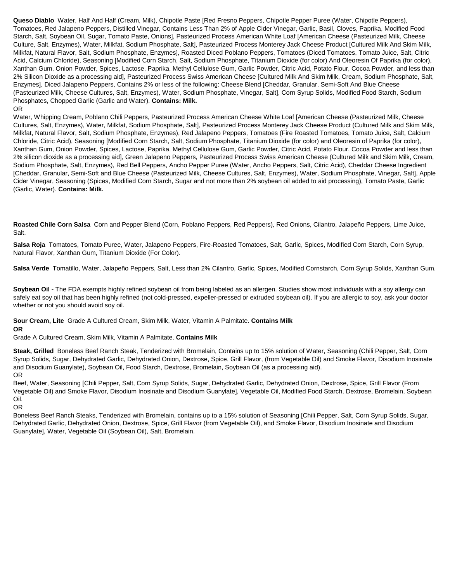**Queso Diablo** Water, Half And Half (Cream, Milk), Chipotle Paste [Red Fresno Peppers, Chipotle Pepper Puree (Water, Chipotle Peppers), Tomatoes, Red Jalapeno Peppers, Distilled Vinegar, Contains Less Than 2% of Apple Cider Vinegar, Garlic, Basil, Cloves, Paprika, Modified Food Starch, Salt, Soybean Oil, Sugar, Tomato Paste, Onions], Pasteurized Process American White Loaf [American Cheese (Pasteurized Milk, Cheese Culture, Salt, Enzymes), Water, Milkfat, Sodium Phosphate, Salt], Pasteurized Process Monterey Jack Cheese Product [Cultured Milk And Skim Milk, Milkfat, Natural Flavor, Salt, Sodium Phosphate, Enzymes], Roasted Diced Poblano Peppers, Tomatoes (Diced Tomatoes, Tomato Juice, Salt, Citric Acid, Calcium Chloride), Seasoning [Modified Corn Starch, Salt, Sodium Phosphate, Titanium Dioxide (for color) And Oleoresin Of Paprika (for color), Xanthan Gum, Onion Powder, Spices, Lactose, Paprika, Methyl Cellulose Gum, Garlic Powder, Citric Acid, Potato Flour, Cocoa Powder, and less than 2% Silicon Dioxide as a processing aid], Pasteurized Process Swiss American Cheese [Cultured Milk And Skim Milk, Cream, Sodium Phosphate, Salt, Enzymes], Diced Jalapeno Peppers, Contains 2% or less of the following: Cheese Blend [Cheddar, Granular, Semi-Soft And Blue Cheese (Pasteurized Milk, Cheese Cultures, Salt, Enzymes), Water, Sodium Phosphate, Vinegar, Salt], Corn Syrup Solids, Modified Food Starch, Sodium Phosphates, Chopped Garlic (Garlic and Water). **Contains: Milk.** OR

Water, Whipping Cream, Poblano Chili Peppers, Pasteurized Process American Cheese White Loaf [American Cheese (Pasteurized Milk, Cheese Cultures, Salt, Enzymes), Water, Milkfat, Sodium Phosphate, Salt], Pasteurized Process Monterey Jack Cheese Product (Cultured Milk and Skim Milk, Milkfat, Natural Flavor, Salt, Sodium Phosphate, Enzymes), Red Jalapeno Peppers, Tomatoes (Fire Roasted Tomatoes, Tomato Juice, Salt, Calcium Chloride, Citric Acid), Seasoning [Modified Corn Starch, Salt, Sodium Phosphate, Titanium Dioxide (for color) and Oleoresin of Paprika (for color), Xanthan Gum, Onion Powder, Spices, Lactose, Paprika, Methyl Cellulose Gum, Garlic Powder, Citric Acid, Potato Flour, Cocoa Powder and less than 2% silicon dioxide as a processing aid], Green Jalapeno Peppers, Pasteurized Process Swiss American Cheese (Cultured Milk and Skim Milk, Cream, Sodium Phosphate, Salt, Enzymes), Red Bell Peppers, Ancho Pepper Puree (Water, Ancho Peppers, Salt, Citric Acid), Cheddar Cheese Ingredient [Cheddar, Granular, Semi-Soft and Blue Cheese (Pasteurized Milk, Cheese Cultures, Salt, Enzymes), Water, Sodium Phosphate, Vinegar, Salt], Apple Cider Vinegar, Seasoning (Spices, Modified Corn Starch, Sugar and not more than 2% soybean oil added to aid processing), Tomato Paste, Garlic (Garlic, Water). **Contains: Milk.**

**Roasted Chile Corn Salsa** Corn and Pepper Blend (Corn, Poblano Peppers, Red Peppers), Red Onions, Cilantro, Jalapeño Peppers, Lime Juice, Salt.

**Salsa Roja** Tomatoes, Tomato Puree, Water, Jalapeno Peppers, Fire-Roasted Tomatoes, Salt, Garlic, Spices, Modified Corn Starch, Corn Syrup, Natural Flavor, Xanthan Gum, Titanium Dioxide (For Color).

**Salsa Verde** Tomatillo, Water, Jalapeño Peppers, Salt, Less than 2% Cilantro, Garlic, Spices, Modified Cornstarch, Corn Syrup Solids, Xanthan Gum.

**Soybean Oil -** The FDA exempts highly refined soybean oil from being labeled as an allergen. Studies show most individuals with a soy allergy can safely eat soy oil that has been highly refined (not cold-pressed, expeller-pressed or extruded soybean oil). If you are allergic to soy, ask your doctor whether or not you should avoid soy oil.

**Sour Cream, Lite** Grade A Cultured Cream, Skim Milk, Water, Vitamin A Palmitate. **Contains Milk OR**

Grade A Cultured Cream, Skim Milk, Vitamin A Palmitate. **Contains Milk**

**Steak, Grilled** Boneless Beef Ranch Steak, Tenderized with Bromelain, Contains up to 15% solution of Water, Seasoning (Chili Pepper, Salt, Corn Syrup Solids, Sugar, Dehydrated Garlic, Dehydrated Onion, Dextrose, Spice, Grill Flavor, (from Vegetable Oil) and Smoke Flavor, Disodium Inosinate and Disodium Guanylate), Soybean Oil, Food Starch, Dextrose, Bromelain, Soybean Oil (as a processing aid). OR

Beef, Water, Seasoning [Chili Pepper, Salt, Corn Syrup Solids, Sugar, Dehydrated Garlic, Dehydrated Onion, Dextrose, Spice, Grill Flavor (From Vegetable Oil) and Smoke Flavor, Disodium Inosinate and Disodium Guanylate], Vegetable Oil, Modified Food Starch, Dextrose, Bromelain, Soybean Oil.

OR

Boneless Beef Ranch Steaks, Tenderized with Bromelain, contains up to a 15% solution of Seasoning [Chili Pepper, Salt, Corn Syrup Solids, Sugar, Dehydrated Garlic, Dehydrated Onion, Dextrose, Spice, Grill Flavor (from Vegetable Oil), and Smoke Flavor, Disodium Inosinate and Disodium Guanylate], Water, Vegetable Oil (Soybean Oil), Salt, Bromelain.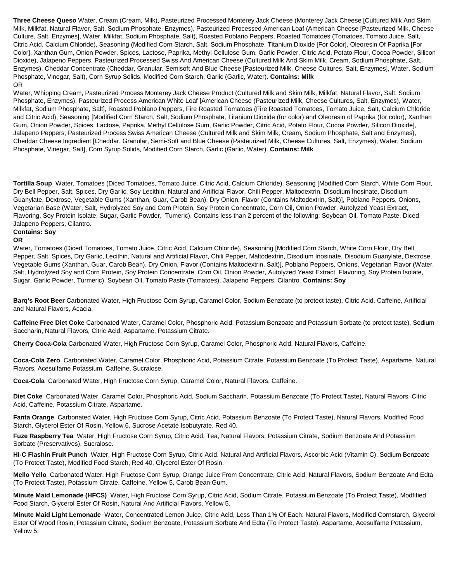**Three Cheese Queso** Water, Cream (Cream, Milk), Pasteurized Processed Monterey Jack Cheese (Monterey Jack Cheese [Cultured Milk And Skim Milk, Milkfat, Natural Flavor, Salt, Sodium Phosphate, Enzymes), Pasteurized Processed American Loaf (American Cheese [Pasteurized Milk, Cheese Culture, Salt, Enzymes], Water, Milkfat, Sodium Phosphate, Salt), Roasted Poblano Peppers, Roasted Tomatoes (Tomatoes, Tomato Juice, Salt, Citric Acid, Calcium Chloride), Seasoning (Modified Corn Starch, Salt, Sodium Phosphate, Titanium Dioxide [For Color], Oleoresin Of Paprika [For Color], Xanthan Gum, Onion Powder, Spices, Lactose, Paprika, Methyl Cellulose Gum, Garlic Powder, Citric Acid, Potato Flour, Cocoa Powder, Silicon Dioxide), Jalapeno Peppers, Pasteurized Processed Swiss And American Cheese (Cultured Milk And Skim Milk, Cream, Sodium Phosphate, Salt, Enzymes), Cheddar Concentrate (Cheddar, Granular, Semisoft And Blue Cheese [Pasteurized Milk, Cheese Cultures, Salt, Enzymes], Water, Sodium Phosphate, Vinegar, Salt), Corn Syrup Solids, Modified Corn Starch, Garlic (Garlic, Water). **Contains: Milk** OR

Water, Whipping Cream, Pasteurized Process Monterey Jack Cheese Product (Cultured Milk and Skim Milk, Milkfat, Natural Flavor, Salt, Sodium Phosphate, Enzymes), Pasteurized Process American White Loaf [American Cheese (Pasteurized Milk, Cheese Cultures, Salt, Enzymes), Water, Milkfat, Sodium Phosphate, Salt], Roasted Poblano Peppers, Fire Roasted Tomatoes (Fire Roasted Tomatoes, Tomato Juice, Salt, Calcium Chloride and Citric Acid), Seasoning [Modified Corn Starch, Salt, Sodium Phosphate, Titanium Dioxide (for color) and Oleoresin of Paprika (for color), Xanthan Gum, Onion Powder, Spices, Lactose, Paprika, Methyl Cellulose Gum, Garlic Powder, Citric Acid, Potato Flour, Cocoa Powder, Silicon Dioxide], Jalapeno Peppers, Pasteurized Process Swiss American Cheese (Cultured Milk and Skim Milk, Cream, Sodium Phosphate, Salt and Enzymes), Cheddar Cheese Ingredient [Cheddar, Granular, Semi-Soft and Blue Cheese (Pasteurized Milk, Cheese Cultures, Salt, Enzymes), Water, Sodium Phosphate, Vinegar, Salt], Corn Syrup Solids, Modified Corn Starch, Garlic (Garlic, Water). **Contains: Milk**

**Tortilla Soup** Water, Tomatoes (Diced Tomatoes, Tomato Juice, Citric Acid, Calcium Chloride), Seasoning [Modified Corn Starch, White Corn Flour, Dry Bell Pepper, Salt, Spices, Dry Garlic, Soy Lecithin, Natural and Artificial Flavor, Chili Pepper, Maltodextrin, Disodium Inosinate, Disodium Guanylate, Dextrose, Vegetable Gums (Xanthan, Guar, Carob Bean), Dry Onion, Flavor (Contains Maltodextrin, Salt)], Poblano Peppers, Onions, Vegetarian Base (Water, Salt, Hydrolyzed Soy and Corn Protein, Soy Protein Concentrate, Corn Oil, Onion Powder, Autolyzed Yeast Extract, Flavoring, Soy Protein Isolate, Sugar, Garlic Powder, Tumeric), Contains less than 2 percent of the following: Soybean Oil, Tomato Paste, Diced Jalapeno Peppers, Cilantro.

#### **Contains: Soy OR**

Water, Tomatoes (Diced Tomatoes, Tomato Juice, Citric Acid, Calcium Chloride), Seasoning [Modified Corn Starch, White Corn Flour, Dry Bell Pepper, Salt, Spices, Dry Garlic, Lecithin, Natural and Artificial Flavor, Chili Pepper, Maltodextrin, Disodium Inosinate, Disodium Guanylate, Dextrose, Vegetable Gums (Xanthan, Guar, Carob Bean), Dry Onion, Flavor (Contains Maltodextrin, Salt)], Poblano Peppers, Onions, Vegetarian Flavor (Water, Salt, Hydrolyzed Soy and Corn Protein, Soy Protein Concentrate, Corn Oil, Onion Powder, Autolyzed Yeast Extract, Flavoring, Soy Protein Isolate, Sugar, Garlic Powder, Turmeric), Soybean Oil, Tomato Paste (Tomatoes), Jalapeno Peppers, Cilantro. **Contains: Soy**

**Barq's Root Beer** Carbonated Water, High Fructose Corn Syrup, Caramel Color, Sodium Benzoate (to protect taste), Citric Acid, Caffeine, Artificial and Natural Flavors, Acacia.

**Caffeine Free Diet Coke** Carbonated Water, Caramel Color, Phosphoric Acid, Potassium Benzoate and Potassium Sorbate (to protect taste), Sodium Saccharin, Natural Flavors, Citric Acid, Aspartame, Potassium Citrate.

**Cherry Coca-Cola** Carbonated Water, High Fructose Corn Syrup, Caramel Color, Phosphoric Acid, Natural Flavors, Caffeine.

**Coca-Cola Zero** Carbonated Water, Caramel Color, Phosphoric Acid, Potassium Citrate, Potassium Benzoate (To Protect Taste), Aspartame, Natural Flavors, Acesulfame Potassium, Caffeine, Sucralose.

**Coca-Cola** Carbonated Water, High Fructose Corn Syrup, Caramel Color, Natural Flavors, Caffeine.

**Diet Coke** Carbonated Water, Caramel Color, Phosphoric Acid, Sodium Saccharin, Potassium Benzoate (To Protect Taste), Natural Flavors, Citric Acid, Caffeine, Potassium Citrate, Aspartame.

**Fanta Orange** Carbonated Water, High Fructose Corn Syrup, Citric Acid, Potassium Benzoate (To Protect Taste), Natural Flavors, Modified Food Starch, Glycerol Ester Of Rosin, Yellow 6, Sucrose Acetate Isobutyrate, Red 40.

**Fuze Raspberry Tea** Water, High Fructose Corn Syrup, Citric Acid, Tea, Natural Flavors, Potassium Citrate, Sodium Benzoate And Potassium Sorbate (Preservatives), Sucralose.

**Hi-C Flashin Fruit Punch** Water, High Fructose Corn Syrup, Citric Acid, Natural And Artificial Flavors, Ascorbic Acid (Vitamin C), Sodium Benzoate (To Protect Taste), Modified Food Starch, Red 40, Glycerol Ester Of Rosin.

**Mello Yello** Carbonated Water, High Fructose Corn Syrup, Orange Juice From Concentrate, Citric Acid, Natural Flavors, Sodium Benzoate And Edta (To Protect Taste), Potassium Citrate, Caffeine, Yellow 5, Carob Bean Gum.

**Minute Maid Lemonade (HFCS)** Water, High Fructose Corn Syrup, Citric Acid, Sodium Citrate, Potassium Benzoate (To Protect Taste), Modfified Food Starch, Glycerol Ester Of Rosin, Natural And Artificial Flavors, Yellow 5.

**Minute Maid Light Lemonade** Water, Concentrated Lemon Juice, Citric Acid, Less Than 1% Of Each: Natural Flavors, Modified Cornstarch, Glycerol Ester Of Wood Rosin, Potassium Citrate, Sodium Benzoate, Potassium Sorbate And Edta (To Protect Taste), Aspartame, Acesulfame Potassium, Yellow 5.